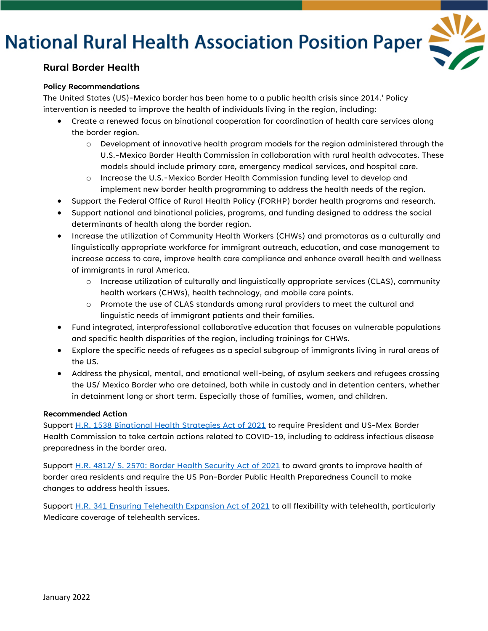## **National Rural Health Association Position Paper**



### **Rural Border Health**

#### **Policy Recommendations**

The Un[i](#page-2-0)ted States (US)-Mexico border has been home to a public health crisis since 2014.<sup>i</sup> Policy intervention is needed to improve the health of individuals living in the region, including:

- Create a renewed focus on binational cooperation for coordination of health care services along the border region.
	- o Development of innovative health program models for the region administered through the U.S.-Mexico Border Health Commission in collaboration with rural health advocates. These models should include primary care, emergency medical services, and hospital care.
	- o Increase the U.S.-Mexico Border Health Commission funding level to develop and implement new border health programming to address the health needs of the region.
- Support the Federal Office of Rural Health Policy (FORHP) border health programs and research.
- Support national and binational policies, programs, and funding designed to address the social determinants of health along the border region.
- Increase the utilization of Community Health Workers (CHWs) and promotoras as a culturally and linguistically appropriate workforce for immigrant outreach, education, and case management to increase access to care, improve health care compliance and enhance overall health and wellness of immigrants in rural America.
	- o Increase utilization of culturally and linguistically appropriate services (CLAS), community health workers (CHWs), health technology, and mobile care points.
	- o Promote the use of CLAS standards among rural providers to meet the cultural and linguistic needs of immigrant patients and their families.
- Fund integrated, interprofessional collaborative education that focuses on vulnerable populations and specific health disparities of the region, including trainings for CHWs.
- Explore the specific needs of refugees as a special subgroup of immigrants living in rural areas of the US.
- Address the physical, mental, and emotional well-being, of asylum seekers and refugees crossing the US/ Mexico Border who are detained, both while in custody and in detention centers, whether in detainment long or short term. Especially those of families, women, and children.

#### **Recommended Action**

Support [H.R. 1538 Binational Health Strategies Act of 2021](https://www.congress.gov/bill/117th-congress/house-bill/1538/text) to require President and US-Mex Border Health Commission to take certain actions related to COVID-19, including to address infectious disease preparedness in the border area.

Support [H.R. 4812/ S. 2570: Border Health Security Act of 2021](https://www.congress.gov/bill/117th-congress/house-bill/4812?s=1&r=50) to award grants to improve health of border area residents and require the US Pan-Border Public Health Preparedness Council to make changes to address health issues.

Support [H.R. 341 Ensuring Telehealth Expansion Act of 2021](https://www.congress.gov/bill/117th-congress/house-bill/341?s=1&r=1) to all flexibility with telehealth, particularly Medicare coverage of telehealth services.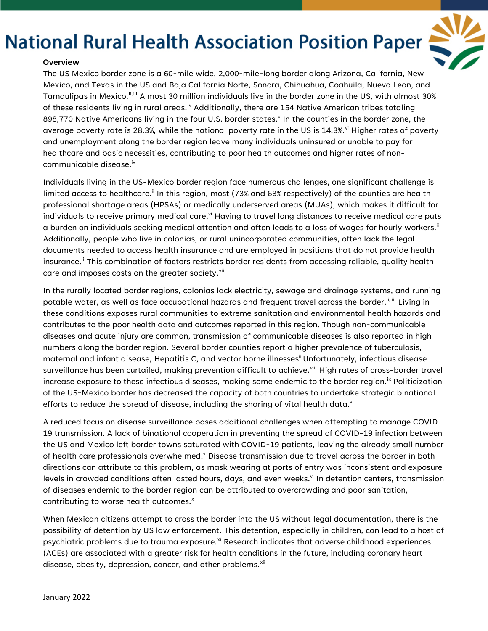### **National Rural Health Association Position Paper**



#### **Overview**

The US Mexico border zone is a 60-mile wide, 2,000-mile-long border along Arizona, California, New Mexico, and Texas in the US and Baja California Norte, Sonora, Chihuahua, Coahuila, Nuevo Leon, and Tamaulipas in Mexico."<sup>, ii</sup> Almost 30 million individuals live in the border zone in the US, with almost 30% of these residents l[iv](#page-2-3)ing in rural areas. $^{\text{iv}}$  Additionally, there are 154 Native American tribes totaling 898,770 Nati[v](#page-2-4)e Americans living in the four U.S. border states.<sup>v</sup> In the counties in the border zone, the average poverty rate is 28.3%, while the national poverty rate in the US is 14.3%.<sup>[vi](#page-2-5)</sup> Higher rates of poverty and unemployment along the border region leave many individuals uninsured or unable to pay for healthcare and basic necessities, contributing to poor health outcomes and higher rates of noncommunicable disease.iv

Individuals living in the US-Mexico border region face numerous challenges, one significant challenge is limited access to healthcare.<sup>ii</sup> In this region, most (73% and 63% respectively) of the counties are health professional shortage areas (HPSAs) or medically underserved areas (MUAs), which makes it difficult for individuals to receive primary medical care.<sup>vi</sup> Having to travel long distances to receive medical care puts a burden on individuals seeking medical attention and often leads to a loss of wages for hourly workers. $^{\text{ii}}$ Additionally, people who live in colonias, or rural unincorporated communities, often lack the legal documents needed to access health insurance and are employed in positions that do not provide health insurance. ii This combination of factors restricts border residents from accessing reliable, quality health care and imposes costs on the greater society.<sup>[vii](#page-2-6)</sup>

In the rurally located border regions, colonias lack electricity, sewage and drainage systems, and running potable water, as well as face occupational hazards and frequent travel across the border.<sup>ii, iii</sup> Living in these conditions exposes rural communities to extreme sanitation and environmental health hazards and contributes to the poor health data and outcomes reported in this region. Though non-communicable diseases and acute injury are common, transmission of communicable diseases is also reported in high numbers along the border region. Several border counties report a higher prevalence of tuberculosis, maternal and infant disease, Hepatitis C, and vector borne illnesses<sup>ii</sup> Unfortunately, infectious disease surveillance has been curtailed, making prevention difficult to achieve. Viii High rates of cross-border travel increase exposure to these infectious diseases, making some endemic to the border region.<sup>[ix](#page-2-8)</sup> Politicization of the US-Mexico border has decreased the capacity of both countries to undertake strategic binational efforts to reduce the spread of disease, including the sharing of vital health data. $v$ 

A reduced focus on disease surveillance poses additional challenges when attempting to manage COVID-19 transmission. A lack of binational cooperation in preventing the spread of COVID-19 infection between the US and Mexico left border towns saturated with COVID-19 patients, leaving the already small number of health care professionals overwhelmed.<sup>v</sup> Disease transmission due to travel across the border in both directions can attribute to this problem, as mask wearing at ports of entry was inconsistent and exposure levels in crowded conditions often lasted hours, days, and even weeks.<sup>v</sup> In detention centers, transmission of diseases endemic to the border region can be attributed to overcrowding and poor sanitation, contributing to worse health outcomes.<sup>x</sup>

When Mexican citizens attempt to cross the border into the US without legal documentation, there is the possibility of detention by US law enforcement. This detention, especially in children, can lead to a host of psychiatric problems due to trauma exposure.<sup>[xi](#page-2-10)</sup> Research indicates that adverse childhood experiences (ACEs) are associated with a greater risk for health conditions in the future, including coronary heart disease, obesity, depression, cancer, and other problems.<sup>[xii](#page-2-11)</sup>